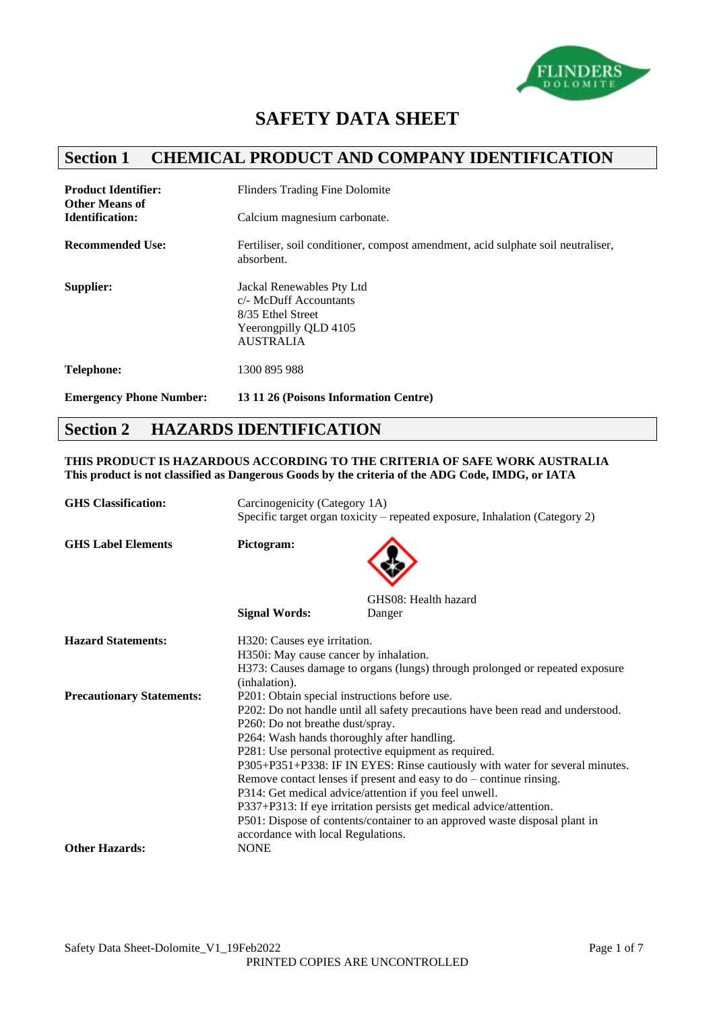

# **SAFETY DATA SHEET**

## **Section 1 CHEMICAL PRODUCT AND COMPANY IDENTIFICATION**

| <b>Product Identifier:</b><br><b>Other Means of</b><br><b>Identification:</b> | <b>Flinders Trading Fine Dolomite</b><br>Calcium magnesium carbonate.                                                 |
|-------------------------------------------------------------------------------|-----------------------------------------------------------------------------------------------------------------------|
| <b>Recommended Use:</b>                                                       | Fertiliser, soil conditioner, compost amendment, acid sulphate soil neutraliser,<br>absorbent.                        |
| Supplier:                                                                     | Jackal Renewables Pty Ltd<br>c/- McDuff Accountants<br>8/35 Ethel Street<br>Yeerongpilly QLD 4105<br><b>AUSTRALIA</b> |
| <b>Telephone:</b>                                                             | 1300 895 988                                                                                                          |
| <b>Emergency Phone Number:</b>                                                | 13 11 26 (Poisons Information Centre)                                                                                 |

## **Section 2 HAZARDS IDENTIFICATION**

**THIS PRODUCT IS HAZARDOUS ACCORDING TO THE CRITERIA OF SAFE WORK AUSTRALIA This product is not classified as Dangerous Goods by the criteria of the ADG Code, IMDG, or IATA**

| <b>GHS</b> Classification:       | Carcinogenicity (Category 1A)<br>Specific target organ toxicity – repeated exposure, Inhalation (Category 2)                                                                                                                                                                                                                                                                                                                                                                                                                                                                                                                                                                              |                                                                              |
|----------------------------------|-------------------------------------------------------------------------------------------------------------------------------------------------------------------------------------------------------------------------------------------------------------------------------------------------------------------------------------------------------------------------------------------------------------------------------------------------------------------------------------------------------------------------------------------------------------------------------------------------------------------------------------------------------------------------------------------|------------------------------------------------------------------------------|
| <b>GHS Label Elements</b>        | Pictogram:                                                                                                                                                                                                                                                                                                                                                                                                                                                                                                                                                                                                                                                                                |                                                                              |
|                                  |                                                                                                                                                                                                                                                                                                                                                                                                                                                                                                                                                                                                                                                                                           | GHS08: Health hazard                                                         |
|                                  | <b>Signal Words:</b>                                                                                                                                                                                                                                                                                                                                                                                                                                                                                                                                                                                                                                                                      | Danger                                                                       |
| <b>Hazard Statements:</b>        | H320: Causes eye irritation.<br>H350i: May cause cancer by inhalation.<br>(inhalation).                                                                                                                                                                                                                                                                                                                                                                                                                                                                                                                                                                                                   | H373: Causes damage to organs (lungs) through prolonged or repeated exposure |
| <b>Precautionary Statements:</b> | P201: Obtain special instructions before use.<br>P202: Do not handle until all safety precautions have been read and understood.<br>P260: Do not breathe dust/spray.<br>P264: Wash hands thoroughly after handling.<br>P281: Use personal protective equipment as required.<br>P305+P351+P338: IF IN EYES: Rinse cautiously with water for several minutes.<br>Remove contact lenses if present and easy to $do$ – continue rinsing.<br>P314: Get medical advice/attention if you feel unwell.<br>P337+P313: If eye irritation persists get medical advice/attention.<br>P501: Dispose of contents/container to an approved waste disposal plant in<br>accordance with local Regulations. |                                                                              |
| <b>Other Hazards:</b>            | <b>NONE</b>                                                                                                                                                                                                                                                                                                                                                                                                                                                                                                                                                                                                                                                                               |                                                                              |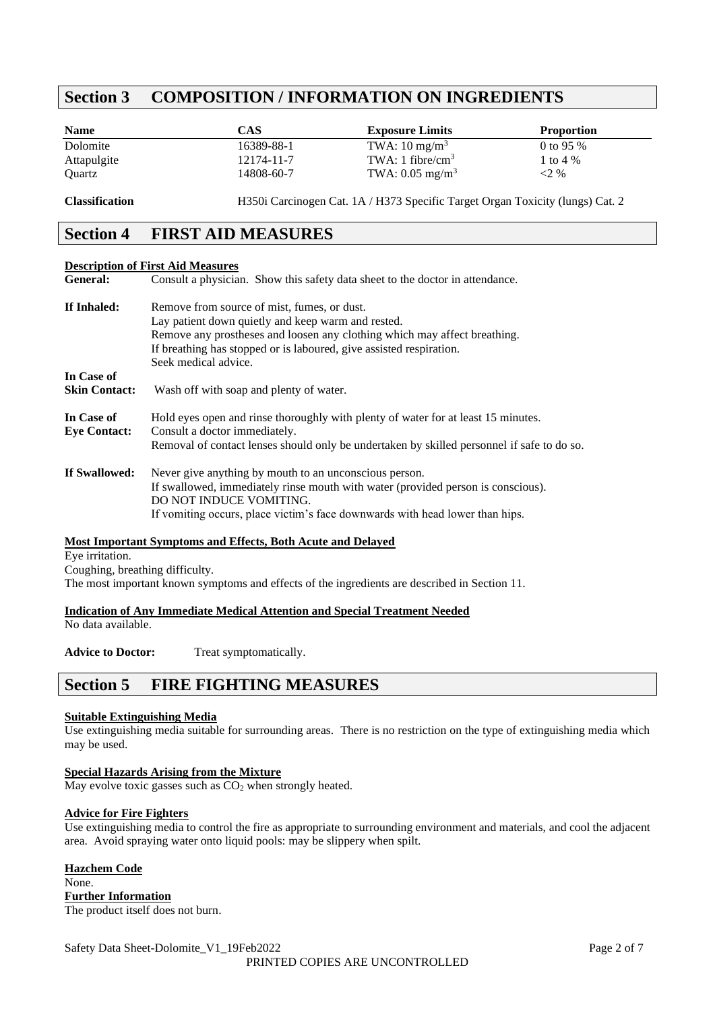## **Section 3 COMPOSITION / INFORMATION ON INGREDIENTS**

| <b>Name</b> | CAS        | <b>Exposure Limits</b>     | <b>Proportion</b> |
|-------------|------------|----------------------------|-------------------|
| Dolomite    | 16389-88-1 | TWA: $10 \text{ mg/m}^3$   | 0 to 95 $%$       |
| Attapulgite | 12174-11-7 | TWA: 1 fibre/ $cm3$        | 1 to 4 %          |
| Ouartz      | 14808-60-7 | TWA: $0.05 \text{ mg/m}^3$ | $< 2\%$           |
|             |            |                            |                   |

**Classification** H350i Carcinogen Cat. 1A / H373 Specific Target Organ Toxicity (lungs) Cat. 2

## **Section 4 FIRST AID MEASURES**

#### **Description of First Aid Measures**

| <b>General:</b>      | Consult a physician. Show this safety data sheet to the doctor in attendance.              |
|----------------------|--------------------------------------------------------------------------------------------|
| If Inhaled:          | Remove from source of mist, fumes, or dust.                                                |
|                      | Lay patient down quietly and keep warm and rested.                                         |
|                      | Remove any prostheses and loosen any clothing which may affect breathing.                  |
|                      | If breathing has stopped or is laboured, give assisted respiration.                        |
|                      | Seek medical advice.                                                                       |
| In Case of           |                                                                                            |
| <b>Skin Contact:</b> | Wash off with soap and plenty of water.                                                    |
| In Case of           | Hold eyes open and rinse thoroughly with plenty of water for at least 15 minutes.          |
| <b>Eye Contact:</b>  | Consult a doctor immediately.                                                              |
|                      | Removal of contact lenses should only be undertaken by skilled personnel if safe to do so. |
| If Swallowed:        | Never give anything by mouth to an unconscious person.                                     |
|                      | If swallowed, immediately rinse mouth with water (provided person is conscious).           |
|                      | DO NOT INDUCE VOMITING.                                                                    |
|                      | If vomiting occurs, place victim's face downwards with head lower than hips.               |

## **Most Important Symptoms and Effects, Both Acute and Delayed**

Eye irritation.

Coughing, breathing difficulty.

The most important known symptoms and effects of the ingredients are described in Section 11.

#### **Indication of Any Immediate Medical Attention and Special Treatment Needed**

No data available.

Advice to Doctor: Treat symptomatically.

## **Section 5 FIRE FIGHTING MEASURES**

## **Suitable Extinguishing Media**

Use extinguishing media suitable for surrounding areas. There is no restriction on the type of extinguishing media which may be used.

## **Special Hazards Arising from the Mixture**

May evolve toxic gasses such as  $CO<sub>2</sub>$  when strongly heated.

## **Advice for Fire Fighters**

Use extinguishing media to control the fire as appropriate to surrounding environment and materials, and cool the adjacent area. Avoid spraying water onto liquid pools: may be slippery when spilt.

## **Hazchem Code**

#### None. **Further Information**

The product itself does not burn.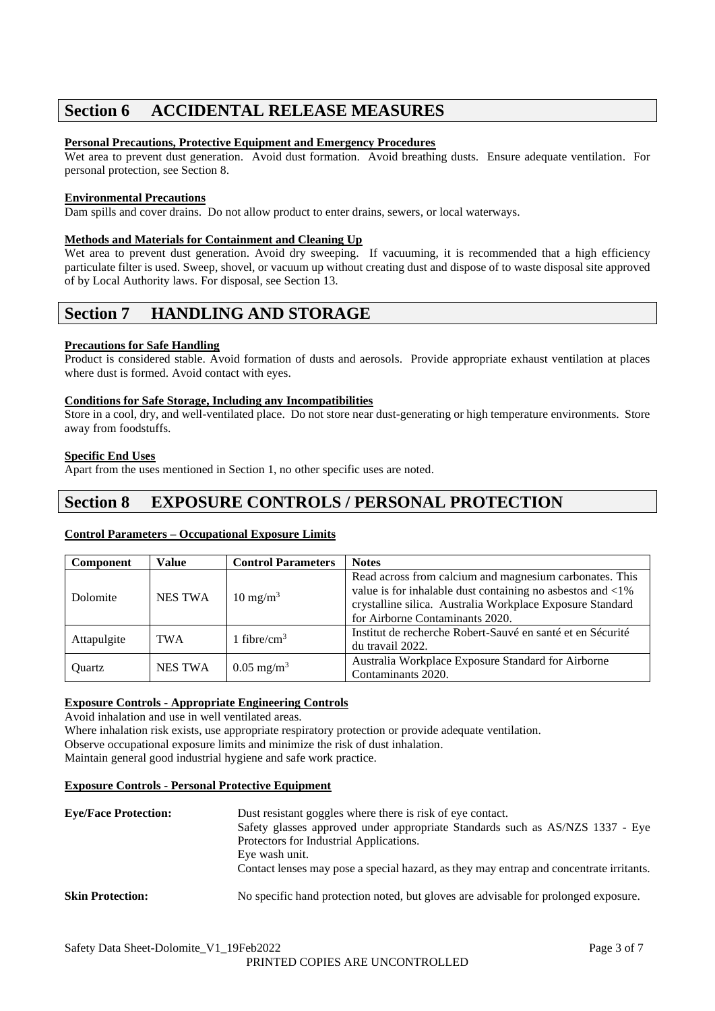## **Section 6 ACCIDENTAL RELEASE MEASURES**

## **Personal Precautions, Protective Equipment and Emergency Procedures**

Wet area to prevent dust generation. Avoid dust formation. Avoid breathing dusts. Ensure adequate ventilation. For personal protection, see Section 8.

## **Environmental Precautions**

Dam spills and cover drains. Do not allow product to enter drains, sewers, or local waterways.

## **Methods and Materials for Containment and Cleaning Up**

Wet area to prevent dust generation. Avoid dry sweeping. If vacuuming, it is recommended that a high efficiency particulate filter is used. Sweep, shovel, or vacuum up without creating dust and dispose of to waste disposal site approved of by Local Authority laws. For disposal, see Section 13.

## **Section 7 HANDLING AND STORAGE**

## **Precautions for Safe Handling**

Product is considered stable. Avoid formation of dusts and aerosols. Provide appropriate exhaust ventilation at places where dust is formed. Avoid contact with eyes.

## **Conditions for Safe Storage, Including any Incompatibilities**

Store in a cool, dry, and well-ventilated place. Do not store near dust-generating or high temperature environments. Store away from foodstuffs.

## **Specific End Uses**

Apart from the uses mentioned in Section 1, no other specific uses are noted.

## **Section 8 EXPOSURE CONTROLS / PERSONAL PROTECTION**

## **Control Parameters – Occupational Exposure Limits**

| <b>Component</b> | <b>Value</b>     | <b>Control Parameters</b> | <b>Notes</b>                                                                                                                                                                                                                    |
|------------------|------------------|---------------------------|---------------------------------------------------------------------------------------------------------------------------------------------------------------------------------------------------------------------------------|
| Dolomite         | <b>NES TWA</b>   | $10 \text{ mg/m}^3$       | Read across from calcium and magnesium carbonates. This<br>value is for inhalable dust containing no asbestos and $\langle 1\%$<br>crystalline silica. Australia Workplace Exposure Standard<br>for Airborne Contaminants 2020. |
| Attapulgite      | TWA <sup>.</sup> | 1 fibre/ $cm3$            | Institut de recherche Robert-Sauvé en santé et en Sécurité<br>du travail 2022.                                                                                                                                                  |
| Ouartz           | <b>NES TWA</b>   | $0.05 \text{ mg/m}^3$     | Australia Workplace Exposure Standard for Airborne<br>Contaminants 2020.                                                                                                                                                        |

## **Exposure Controls - Appropriate Engineering Controls**

Avoid inhalation and use in well ventilated areas.

Where inhalation risk exists, use appropriate respiratory protection or provide adequate ventilation. Observe occupational exposure limits and minimize the risk of dust inhalation. Maintain general good industrial hygiene and safe work practice.

## **Exposure Controls - Personal Protective Equipment**

| <b>Eve/Face Protection:</b> | Dust resistant goggles where there is risk of eye contact.<br>Safety glasses approved under appropriate Standards such as AS/NZS 1337 - Eye<br>Protectors for Industrial Applications.<br>Eye wash unit.<br>Contact lenses may pose a special hazard, as they may entrap and concentrate irritants. |
|-----------------------------|-----------------------------------------------------------------------------------------------------------------------------------------------------------------------------------------------------------------------------------------------------------------------------------------------------|
| <b>Skin Protection:</b>     | No specific hand protection noted, but gloves are advisable for prolonged exposure.                                                                                                                                                                                                                 |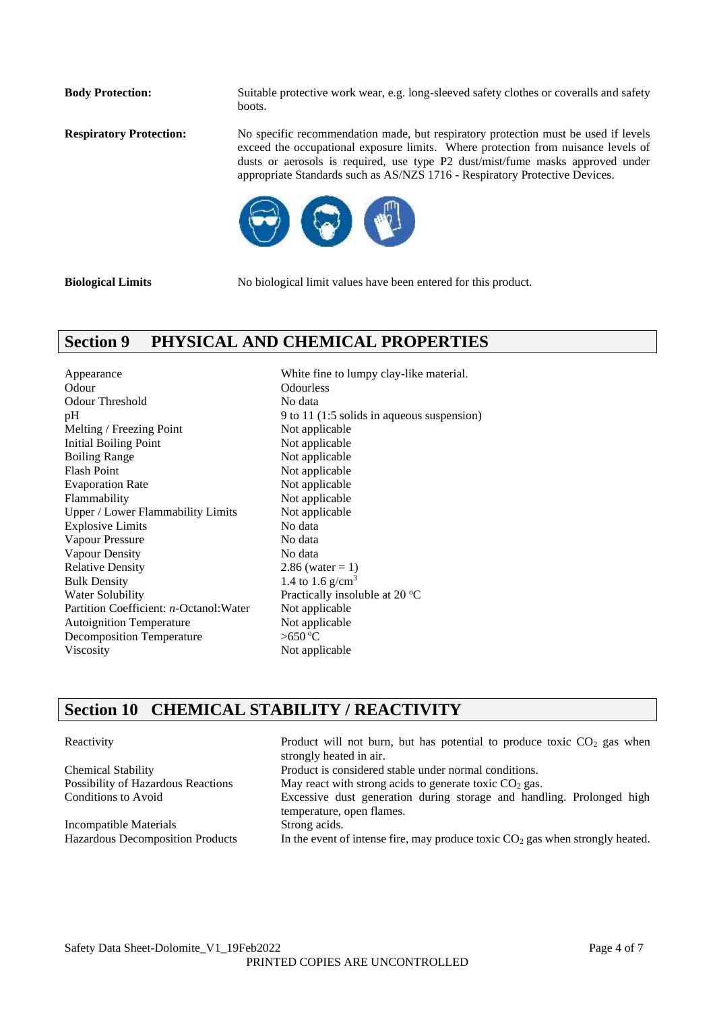**Body Protection:** Suitable protective work wear, e.g. long-sleeved safety clothes or coveralls and safety boots.

**Respiratory Protection:** No specific recommendation made, but respiratory protection must be used if levels exceed the occupational exposure limits. Where protection from nuisance levels of dusts or aerosols is required, use type P2 dust/mist/fume masks approved under appropriate Standards such as AS/NZS 1716 - Respiratory Protective Devices.



**Biological Limits** No biological limit values have been entered for this product.

## **Section 9 PHYSICAL AND CHEMICAL PROPERTIES**

Appearance White fine to lumpy clay-like material. Odour Odourless Odour Threshold No data Melting / Freezing Point Not applicable Initial Boiling Point Not applicable Boiling Range Not applicable Flash Point Not applicable Evaporation Rate Not applicable Flammability Not applicable Upper / Lower Flammability Limits Not applicable Explosive Limits No data Vapour Pressure No data Vapour Density No data Relative Density 2.86 (water  $= 1$ ) Bulk Density 1.4 to  $1.6 \text{ g/cm}^3$ Water Solubility Practically insoluble at 20 °C Partition Coefficient: *n*-Octanol:Water Not applicable Autoignition Temperature Not applicable Decomposition Temperature  $>650 °C$ Viscosity Not applicable

pH 9 to 11 (1:5 solids in aqueous suspension)

## **Section 10 CHEMICAL STABILITY / REACTIVITY**

Incompatible Materials Strong acids.

Reactivity Product will not burn, but has potential to produce toxic  $CO<sub>2</sub>$  gas when strongly heated in air. Chemical Stability Product is considered stable under normal conditions. Possibility of Hazardous Reactions May react with strong acids to generate toxic CO<sub>2</sub> gas. Conditions to Avoid Excessive dust generation during storage and handling. Prolonged high temperature, open flames. Hazardous Decomposition Products In the event of intense fire, may produce toxic  $CO<sub>2</sub>$  gas when strongly heated.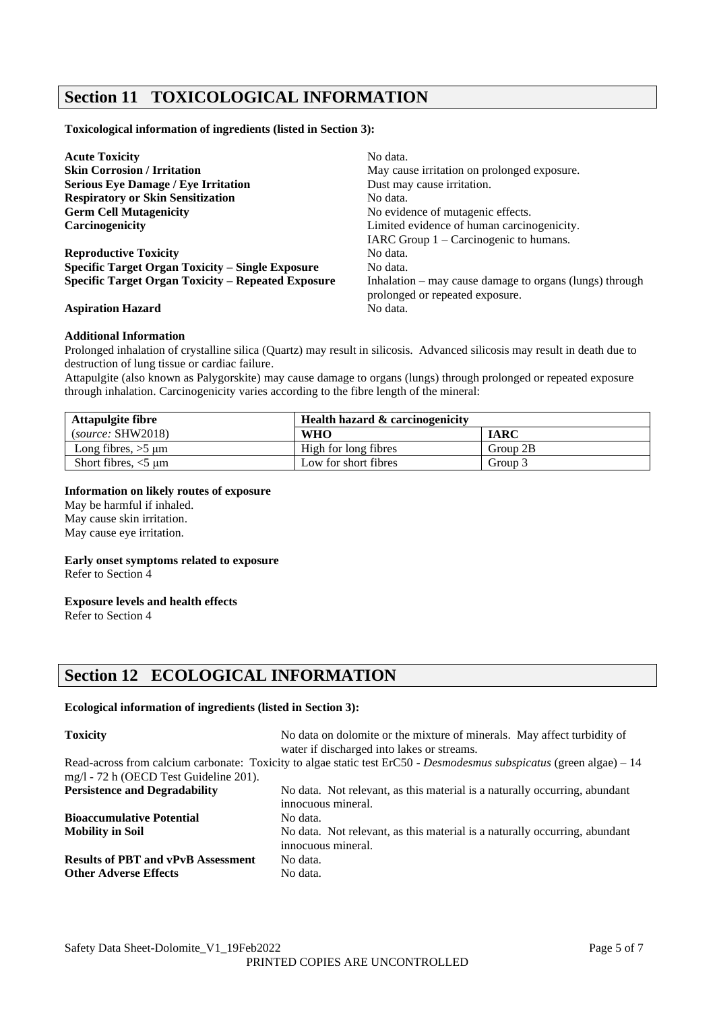## **Section 11 TOXICOLOGICAL INFORMATION**

**Toxicological information of ingredients (listed in Section 3):**

| <b>Acute Toxicity</b>                                     | No data.                                                  |
|-----------------------------------------------------------|-----------------------------------------------------------|
| <b>Skin Corrosion / Irritation</b>                        | May cause irritation on prolonged exposure.               |
| <b>Serious Eye Damage / Eye Irritation</b>                | Dust may cause irritation.                                |
| <b>Respiratory or Skin Sensitization</b>                  | No data.                                                  |
| <b>Germ Cell Mutagenicity</b>                             | No evidence of mutagenic effects.                         |
| <b>Carcinogenicity</b>                                    | Limited evidence of human carcinogenicity.                |
|                                                           | IARC Group $1 -$ Carcinogenic to humans.                  |
| <b>Reproductive Toxicity</b>                              | No data.                                                  |
| <b>Specific Target Organ Toxicity – Single Exposure</b>   | No data.                                                  |
| <b>Specific Target Organ Toxicity – Repeated Exposure</b> | Inhalation $-$ may cause damage to organs (lungs) through |
|                                                           | prolonged or repeated exposure.                           |
| <b>Aspiration Hazard</b>                                  | No data.                                                  |

#### **Additional Information**

Prolonged inhalation of crystalline silica (Quartz) may result in silicosis. Advanced silicosis may result in death due to destruction of lung tissue or cardiac failure.

Attapulgite (also known as Palygorskite) may cause damage to organs (lungs) through prolonged or repeated exposure through inhalation. Carcinogenicity varies according to the fibre length of the mineral:

| Attapulgite fibre       | <b>Health hazard &amp; carcinogenicity</b> |             |
|-------------------------|--------------------------------------------|-------------|
| (source: SHW2018)       | <b>WHO</b>                                 | <b>IARC</b> |
| Long fibres, $>5 \mu m$ | High for long fibres                       | Group 2B    |
| Short fibres, $<$ 5 µm  | Low for short fibres                       | Group 3     |

#### **Information on likely routes of exposure**

May be harmful if inhaled. May cause skin irritation. May cause eye irritation.

#### **Early onset symptoms related to exposure**

Refer to Section 4

#### **Exposure levels and health effects**

Refer to Section 4

## **Section 12 ECOLOGICAL INFORMATION**

#### **Ecological information of ingredients (listed in Section 3):**

| <b>Toxicity</b>                           | No data on dolomite or the mixture of minerals. May affect turbidity of<br>water if discharged into lakes or streams. |
|-------------------------------------------|-----------------------------------------------------------------------------------------------------------------------|
| mg/l - 72 h (OECD Test Guideline 201).    | Read-across from calcium carbonate: Toxicity to algae static test ErC50 - Desmodesmus subspicatus (green algae) – 14  |
| <b>Persistence and Degradability</b>      | No data. Not relevant, as this material is a naturally occurring, abundant<br>innocuous mineral.                      |
| <b>Bioaccumulative Potential</b>          | No data.                                                                                                              |
| <b>Mobility in Soil</b>                   | No data. Not relevant, as this material is a naturally occurring, abundant<br>innocuous mineral.                      |
| <b>Results of PBT and vPvB Assessment</b> | No data.                                                                                                              |
| <b>Other Adverse Effects</b>              | No data.                                                                                                              |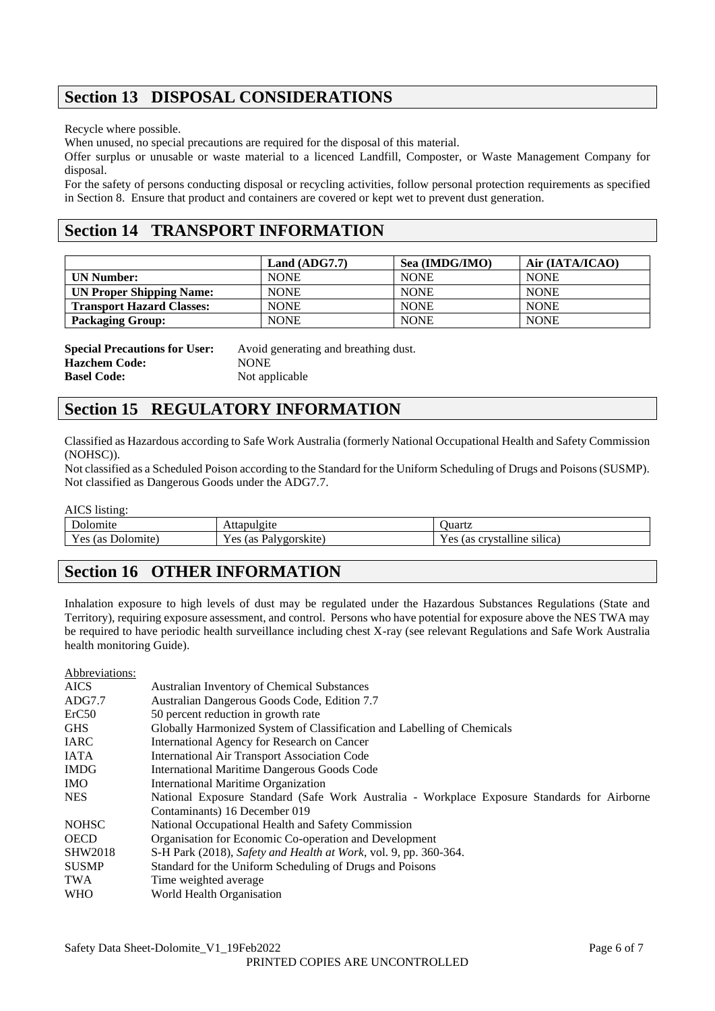## **Section 13 DISPOSAL CONSIDERATIONS**

Recycle where possible.

When unused, no special precautions are required for the disposal of this material.

Offer surplus or unusable or waste material to a licenced Landfill, Composter, or Waste Management Company for disposal.

For the safety of persons conducting disposal or recycling activities, follow personal protection requirements as specified in Section 8. Ensure that product and containers are covered or kept wet to prevent dust generation.

## **Section 14 TRANSPORT INFORMATION**

|                                  | Land $(ADG7.7)$ | Sea (IMDG/IMO) | Air (IATA/ICAO) |
|----------------------------------|-----------------|----------------|-----------------|
| <b>UN Number:</b>                | <b>NONE</b>     | <b>NONE</b>    | <b>NONE</b>     |
| <b>UN Proper Shipping Name:</b>  | <b>NONE</b>     | <b>NONE</b>    | <b>NONE</b>     |
| <b>Transport Hazard Classes:</b> | <b>NONE</b>     | <b>NONE</b>    | <b>NONE</b>     |
| <b>Packaging Group:</b>          | <b>NONE</b>     | <b>NONE</b>    | <b>NONE</b>     |

| <b>Special Precautions for User:</b> | Avoid generating and breathing dust. |
|--------------------------------------|--------------------------------------|
| <b>Hazchem Code:</b>                 | <b>NONE</b>                          |
| <b>Basel Code:</b>                   | Not applicable                       |

## **Section 15 REGULATORY INFORMATION**

Classified as Hazardous according to Safe Work Australia (formerly National Occupational Health and Safety Commission (NOHSC)).

Not classified as a Scheduled Poison according to the Standard for the Uniform Scheduling of Drugs and Poisons (SUSMP). Not classified as Dangerous Goods under the ADG7.7.

AICS listing:

| 1.41<br>Dolomite         | Attapulgite                                          | <b>Juartz</b>                                             |  |
|--------------------------|------------------------------------------------------|-----------------------------------------------------------|--|
| Y es<br>Dolomite)<br>(as | v oo<br>ulvgorskite.<br>(as<br>a <sub>1</sub><br>-CS | <br>$V$ $\alpha$<br>crystalline<br>silica)<br>l as<br>CS. |  |

## **Section 16 OTHER INFORMATION**

Inhalation exposure to high levels of dust may be regulated under the Hazardous Substances Regulations (State and Territory), requiring exposure assessment, and control. Persons who have potential for exposure above the NES TWA may be required to have periodic health surveillance including chest X-ray (see relevant Regulations and Safe Work Australia health monitoring Guide).

| Abbreviations:                                                                                            |                                                                         |  |  |
|-----------------------------------------------------------------------------------------------------------|-------------------------------------------------------------------------|--|--|
| <b>AICS</b>                                                                                               | <b>Australian Inventory of Chemical Substances</b>                      |  |  |
| ADG7.7                                                                                                    | Australian Dangerous Goods Code, Edition 7.7                            |  |  |
| ErC50                                                                                                     | 50 percent reduction in growth rate                                     |  |  |
| <b>GHS</b>                                                                                                | Globally Harmonized System of Classification and Labelling of Chemicals |  |  |
| <b>IARC</b>                                                                                               | International Agency for Research on Cancer                             |  |  |
| <b>IATA</b>                                                                                               | <b>International Air Transport Association Code</b>                     |  |  |
| <b>IMDG</b>                                                                                               | International Maritime Dangerous Goods Code                             |  |  |
| IMO.                                                                                                      | <b>International Maritime Organization</b>                              |  |  |
| National Exposure Standard (Safe Work Australia - Workplace Exposure Standards for Airborne<br><b>NES</b> |                                                                         |  |  |
|                                                                                                           | Contaminants) 16 December 019                                           |  |  |
| <b>NOHSC</b>                                                                                              | National Occupational Health and Safety Commission                      |  |  |
| <b>OECD</b>                                                                                               | Organisation for Economic Co-operation and Development                  |  |  |
| <b>SHW2018</b>                                                                                            | S-H Park (2018), Safety and Health at Work, vol. 9, pp. 360-364.        |  |  |
| <b>SUSMP</b>                                                                                              | Standard for the Uniform Scheduling of Drugs and Poisons                |  |  |
| TWA                                                                                                       | Time weighted average                                                   |  |  |
| <b>WHO</b>                                                                                                | World Health Organisation                                               |  |  |